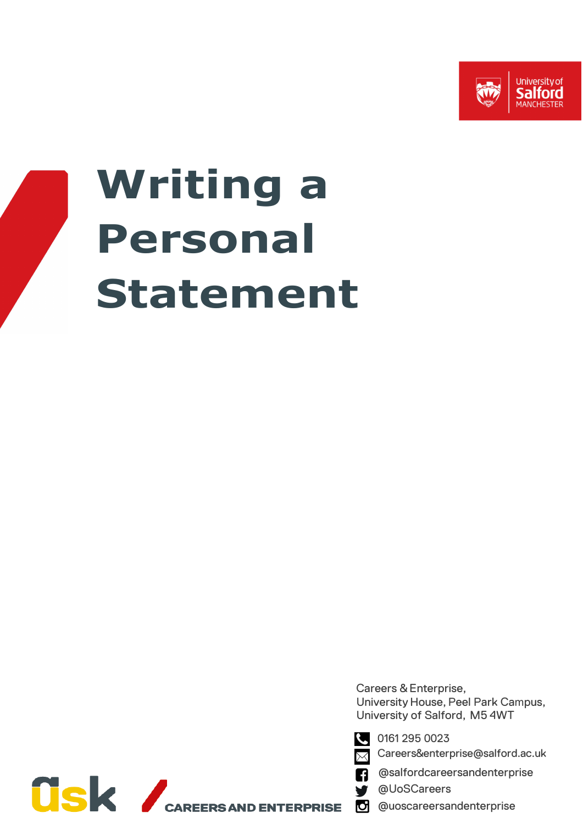



# **Writing a Personal Statement**

Careers & Enterprise, University House, Peel Park Campus, University of Salford, M5 4WT



0161 295 0023

Careers&enterprise@salford.ac.uk Χ

@salfordcareersandenterprise

@UoSCareers

@uoscareersandenterprise

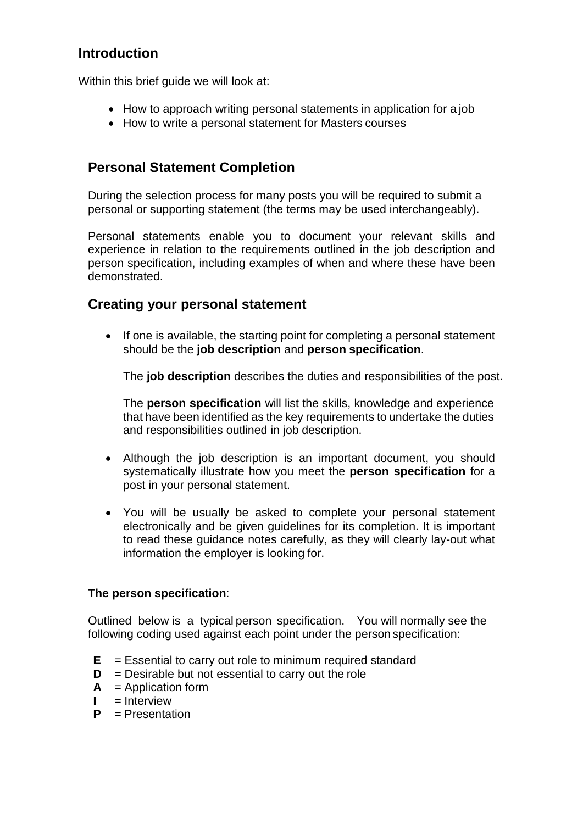## **Introduction**

Within this brief guide we will look at:

- How to approach writing personal statements in application for a job
- How to write a personal statement for Masters courses

## **Personal Statement Completion**

During the selection process for many posts you will be required to submit a personal or supporting statement (the terms may be used interchangeably).

Personal statements enable you to document your relevant skills and experience in relation to the requirements outlined in the job description and person specification, including examples of when and where these have been demonstrated.

## **Creating your personal statement**

• If one is available, the starting point for completing a personal statement should be the **job description** and **person specification**.

The **job description** describes the duties and responsibilities of the post.

The **person specification** will list the skills, knowledge and experience that have been identified as the key requirements to undertake the duties and responsibilities outlined in job description.

- Although the job description is an important document, you should systematically illustrate how you meet the **person specification** for a post in your personal statement.
- You will be usually be asked to complete your personal statement electronically and be given guidelines for its completion. It is important to read these guidance notes carefully, as they will clearly lay-out what information the employer is looking for.

### **The person specification**:

Outlined below is a typical person specification. You will normally see the following coding used against each point under the person specification:

- **E** = Essential to carry out role to minimum required standard
- $D =$  Desirable but not essential to carry out the role
- $A =$  Application form
- $I =$ Interview
- **P** = Presentation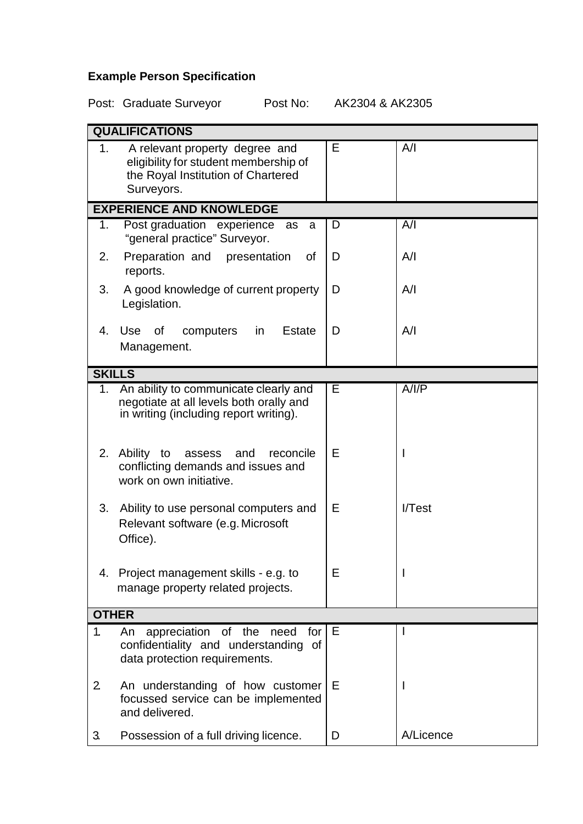# **Example Person Specification**

# Post: Graduate Surveyor Post No: AK2304 & AK2305

| <b>QUALIFICATIONS</b>           |                                                                                                                             |   |           |  |
|---------------------------------|-----------------------------------------------------------------------------------------------------------------------------|---|-----------|--|
| 1 <sub>1</sub>                  | A relevant property degree and<br>eligibility for student membership of<br>the Royal Institution of Chartered<br>Surveyors. | Е | A/I       |  |
| <b>EXPERIENCE AND KNOWLEDGE</b> |                                                                                                                             |   |           |  |
| 1.                              | Post graduation experience<br>as<br>a<br>"general practice" Surveyor.                                                       | D | A/I       |  |
| 2.                              | Preparation and presentation<br>οf<br>reports.                                                                              | D | A/I       |  |
| 3.                              | A good knowledge of current property<br>Legislation.                                                                        | D | A/I       |  |
| 4.                              | Use<br>of<br>computers<br>in<br><b>Estate</b><br>Management.                                                                | D | A/I       |  |
| <b>SKILLS</b>                   |                                                                                                                             |   |           |  |
| 1 <sub>1</sub>                  | An ability to communicate clearly and<br>negotiate at all levels both orally and<br>in writing (including report writing).  | Е | A/I/P     |  |
|                                 | 2. Ability to<br>and<br>reconcile<br>assess<br>conflicting demands and issues and<br>work on own initiative.                | E |           |  |
| 3.                              | Ability to use personal computers and<br>Relevant software (e.g. Microsoft<br>Office).                                      | E | I/Test    |  |
|                                 | 4. Project management skills - e.g. to<br>manage property related projects.                                                 | Е |           |  |
| <b>OTHER</b>                    |                                                                                                                             |   |           |  |
| 1.                              | appreciation of the need<br>for<br>An<br>confidentiality and understanding of<br>data protection requirements.              | Е | I         |  |
| $\mathbf{2}$                    | An understanding of how customer<br>focussed service can be implemented<br>and delivered.                                   | Е |           |  |
| 3.                              | Possession of a full driving licence.                                                                                       | D | A/Licence |  |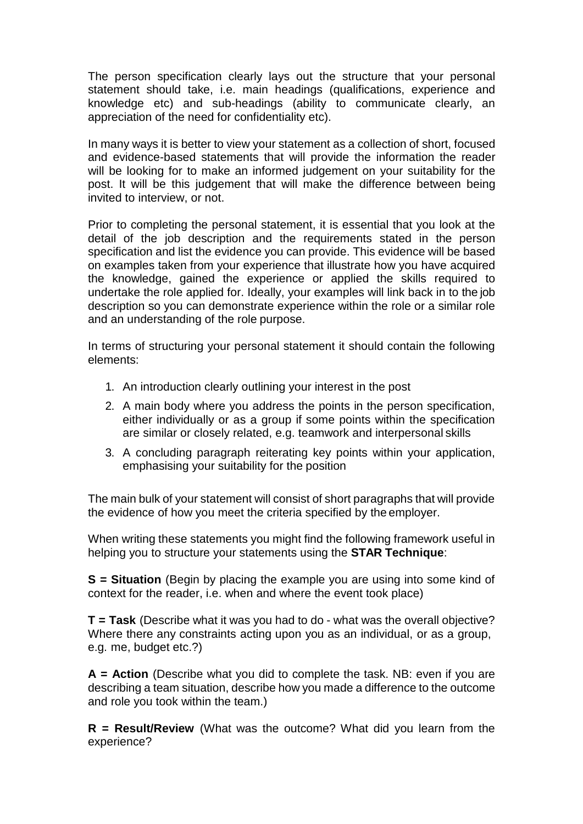The person specification clearly lays out the structure that your personal statement should take, i.e. main headings (qualifications, experience and knowledge etc) and sub-headings (ability to communicate clearly, an appreciation of the need for confidentiality etc).

In many ways it is better to view your statement as a collection of short, focused and evidence-based statements that will provide the information the reader will be looking for to make an informed judgement on your suitability for the post. It will be this judgement that will make the difference between being invited to interview, or not.

Prior to completing the personal statement, it is essential that you look at the detail of the job description and the requirements stated in the person specification and list the evidence you can provide. This evidence will be based on examples taken from your experience that illustrate how you have acquired the knowledge, gained the experience or applied the skills required to undertake the role applied for. Ideally, your examples will link back in to the job description so you can demonstrate experience within the role or a similar role and an understanding of the role purpose.

In terms of structuring your personal statement it should contain the following elements:

- 1. An introduction clearly outlining your interest in the post
- 2. A main body where you address the points in the person specification, either individually or as a group if some points within the specification are similar or closely related, e.g. teamwork and interpersonal skills
- 3. A concluding paragraph reiterating key points within your application, emphasising your suitability for the position

The main bulk of your statement will consist of short paragraphs that will provide the evidence of how you meet the criteria specified by the employer.

When writing these statements you might find the following framework useful in helping you to structure your statements using the **STAR Technique**:

**S** = Situation (Begin by placing the example you are using into some kind of context for the reader, i.e. when and where the event took place)

**T = Task** (Describe what it was you had to do - what was the overall objective? Where there any constraints acting upon you as an individual, or as a group, e.g. me, budget etc.?)

**A = Action** (Describe what you did to complete the task. NB: even if you are describing a team situation, describe how you made a difference to the outcome and role you took within the team.)

**R = Result/Review** (What was the outcome? What did you learn from the experience?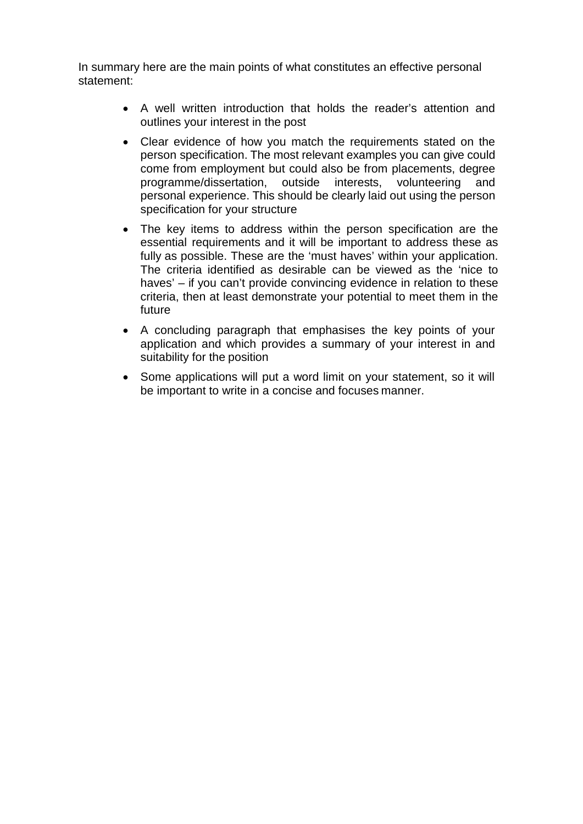In summary here are the main points of what constitutes an effective personal statement:

- A well written introduction that holds the reader's attention and outlines your interest in the post
- Clear evidence of how you match the requirements stated on the person specification. The most relevant examples you can give could come from employment but could also be from placements, degree programme/dissertation, outside interests, volunteering and programme/dissertation, outside interests, volunteering and personal experience. This should be clearly laid out using the person specification for your structure
- The key items to address within the person specification are the essential requirements and it will be important to address these as fully as possible. These are the 'must haves' within your application. The criteria identified as desirable can be viewed as the 'nice to haves' – if you can't provide convincing evidence in relation to these criteria, then at least demonstrate your potential to meet them in the future
- A concluding paragraph that emphasises the key points of your application and which provides a summary of your interest in and suitability for the position
- Some applications will put a word limit on your statement, so it will be important to write in a concise and focuses manner.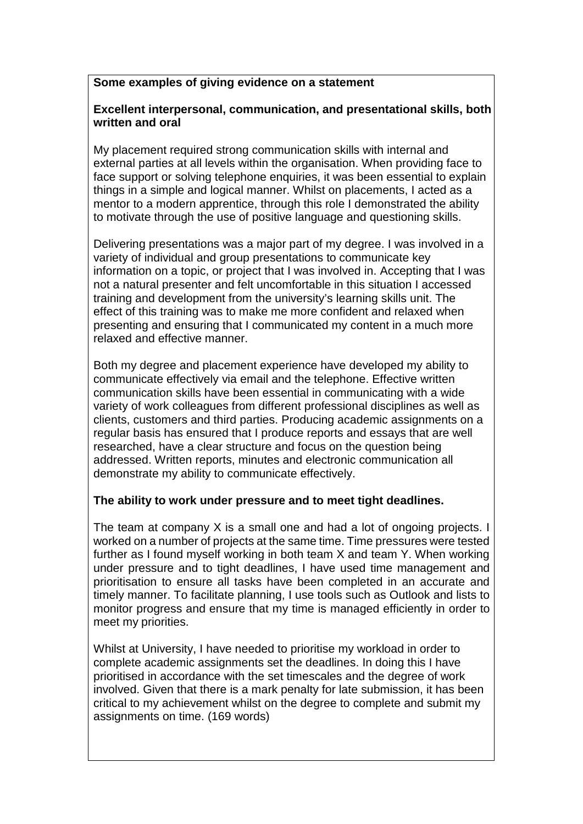#### **Some examples of giving evidence on a statement**

#### **Excellent interpersonal, communication, and presentational skills, both written and oral**

My placement required strong communication skills with internal and external parties at all levels within the organisation. When providing face to face support or solving telephone enquiries, it was been essential to explain things in a simple and logical manner. Whilst on placements, I acted as a mentor to a modern apprentice, through this role I demonstrated the ability to motivate through the use of positive language and questioning skills.

Delivering presentations was a major part of my degree. I was involved in a variety of individual and group presentations to communicate key information on a topic, or project that I was involved in. Accepting that I was not a natural presenter and felt uncomfortable in this situation I accessed training and development from the university's learning skills unit. The effect of this training was to make me more confident and relaxed when presenting and ensuring that I communicated my content in a much more relaxed and effective manner.

Both my degree and placement experience have developed my ability to communicate effectively via email and the telephone. Effective written communication skills have been essential in communicating with a wide variety of work colleagues from different professional disciplines as well as clients, customers and third parties. Producing academic assignments on a regular basis has ensured that I produce reports and essays that are well researched, have a clear structure and focus on the question being addressed. Written reports, minutes and electronic communication all demonstrate my ability to communicate effectively.

#### **The ability to work under pressure and to meet tight deadlines.**

The team at company X is a small one and had a lot of ongoing projects. I worked on a number of projects at the same time. Time pressures were tested further as I found myself working in both team X and team Y. When working under pressure and to tight deadlines, I have used time management and prioritisation to ensure all tasks have been completed in an accurate and timely manner. To facilitate planning, I use tools such as Outlook and lists to monitor progress and ensure that my time is managed efficiently in order to meet my priorities.

Whilst at University, I have needed to prioritise my workload in order to complete academic assignments set the deadlines. In doing this I have prioritised in accordance with the set timescales and the degree of work involved. Given that there is a mark penalty for late submission, it has been critical to my achievement whilst on the degree to complete and submit my assignments on time. (169 words)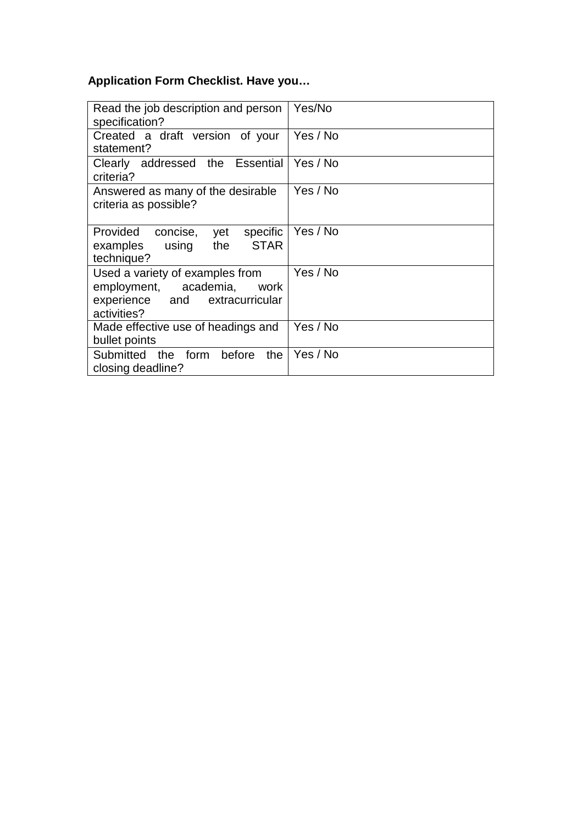# **Application Form Checklist. Have you…**

| Read the job description and person<br>specification?                                                          | Yes/No   |
|----------------------------------------------------------------------------------------------------------------|----------|
| Created a draft version of your<br>statement?                                                                  | Yes / No |
| Clearly addressed the Essential<br>criteria?                                                                   | Yes / No |
| Answered as many of the desirable<br>criteria as possible?                                                     | Yes / No |
| Provided<br>specific<br>concise,<br>yet<br><b>STAR</b><br>the<br>examples<br>using<br>technique?               | Yes / No |
| Used a variety of examples from<br>employment, academia, work<br>experience and extracurricular<br>activities? | Yes / No |
| Made effective use of headings and<br>bullet points                                                            | Yes / No |
| Submitted<br>the<br>before<br>the<br>form<br>closing deadline?                                                 | Yes / No |